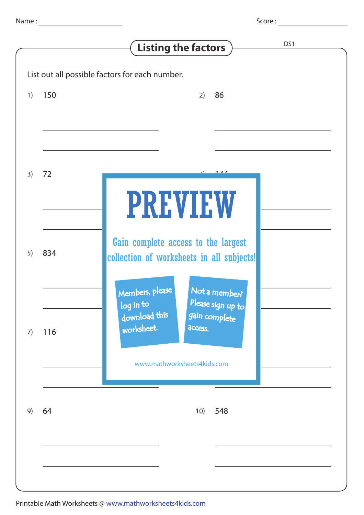Score :

|                                                |     | DS1<br><b>Listing the factors</b>                                                                    |
|------------------------------------------------|-----|------------------------------------------------------------------------------------------------------|
| List out all possible factors for each number. |     |                                                                                                      |
| 1)                                             | 150 | 2)<br>86                                                                                             |
|                                                |     |                                                                                                      |
| 3)                                             | 72  |                                                                                                      |
|                                                |     | <b>PREVIEW</b>                                                                                       |
| 5)                                             | 834 | Gain complete access to the largest<br>collection of worksheets in all subjects!                     |
|                                                |     | Not a member?<br>Members, please<br>Please sign up to<br>log in to<br>download this<br>gain complete |
| 7)                                             | 116 | worksheet.<br>access.                                                                                |
|                                                |     | www.mathworksheets4kids.com                                                                          |
| 9)                                             | 64  | 548<br>10)                                                                                           |
|                                                |     |                                                                                                      |
|                                                |     |                                                                                                      |